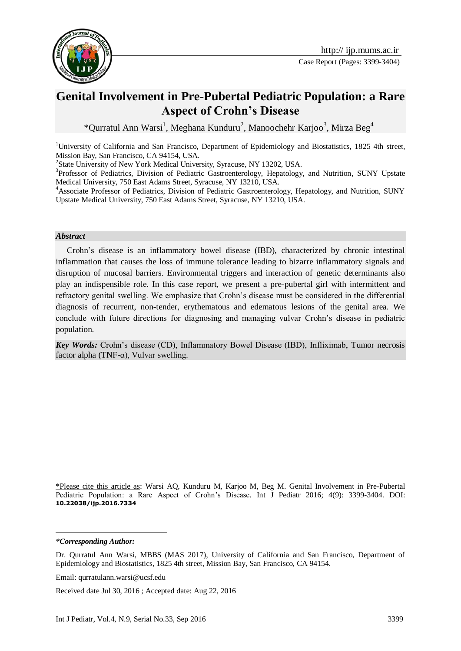

# **Genital Involvement in Pre-Pubertal Pediatric Population: a Rare Aspect of Crohn's Disease**

\*Qurratul Ann Warsi<sup>1</sup>, Meghana Kunduru<sup>2</sup>, Manoochehr Karjoo<sup>3</sup>, Mirza Beg<sup>4</sup>

<sup>1</sup>University of California and San Francisco, Department of Epidemiology and Biostatistics, 1825 4th street, Mission Bay, San Francisco, CA 94154, USA.

<sup>2</sup>State University of New York Medical University, Syracuse, NY 13202, USA.

<sup>3</sup>Professor of Pediatrics, Division of Pediatric Gastroenterology, Hepatology, and Nutrition, SUNY Upstate Medical University, 750 East Adams Street, Syracuse, NY 13210, USA.

<sup>4</sup>Associate Professor of Pediatrics, Division of Pediatric Gastroenterology, Hepatology, and Nutrition, SUNY Upstate Medical University, 750 East Adams Street, Syracuse, NY 13210, USA.

#### *Abstract*

Crohn's disease is an inflammatory bowel disease (IBD), characterized by chronic intestinal inflammation that causes the loss of immune tolerance leading to bizarre inflammatory signals and disruption of mucosal barriers. Environmental triggers and interaction of genetic determinants also play an indispensible role. In this case report, we present a pre-pubertal girl with intermittent and refractory genital swelling. We emphasize that Crohn's disease must be considered in the differential diagnosis of recurrent, non-tender, erythematous and edematous lesions of the genital area. We conclude with future directions for diagnosing and managing vulvar Crohn's disease in pediatric population.

*Key Words:* Crohn's disease (CD), Inflammatory Bowel Disease (IBD), Infliximab, Tumor necrosis factor alpha (TNF- $\alpha$ ), Vulvar swelling.

\*Please cite this article as: Warsi AQ, Kunduru M, Karjoo M, Beg M. Genital Involvement in Pre-Pubertal Pediatric Population: a Rare Aspect of Crohn's Disease. Int J Pediatr 2016; 4(9): 3399-3404. DOI: **10.22038/ijp.2016.7334**

*\*Corresponding Author:*

<u>.</u>

Received date Jul 30, 2016 ; Accepted date: Aug 22, 2016

Dr. Qurratul Ann Warsi, MBBS (MAS 2017), University of California and San Francisco, Department of Epidemiology and Biostatistics, 1825 4th street, Mission Bay, San Francisco, CA 94154.

Email: qurratulann.warsi@ucsf.edu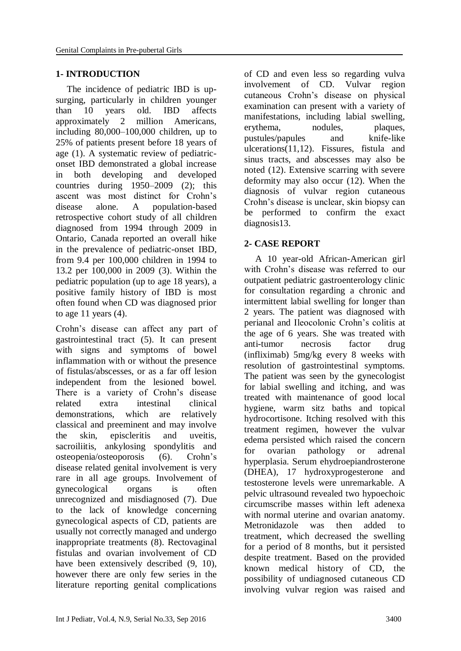## **1- INTRODUCTION**

The incidence of pediatric IBD is upsurging, particularly in children younger than 10 years old. IBD affects approximately 2 million Americans, including 80,000–100,000 children, up to 25% of patients present before 18 years of age (1). A systematic review of pediatriconset IBD demonstrated a global increase in both developing and developed countries during 1950–2009 (2); this ascent was most distinct for Crohn's disease alone. A population-based retrospective cohort study of all children diagnosed from 1994 through 2009 in Ontario, Canada reported an overall hike in the prevalence of pediatric-onset IBD, from 9.4 per 100,000 children in 1994 to 13.2 per 100,000 in 2009 (3). Within the pediatric population (up to age 18 years), a positive family history of IBD is most often found when CD was diagnosed prior to age  $11$  years  $(4)$ .

Crohn's disease can affect any part of gastrointestinal tract (5). It can present with signs and symptoms of bowel inflammation with or without the presence of fistulas/abscesses, or as a far off lesion independent from the lesioned bowel. There is a variety of Crohn's disease related extra intestinal clinical demonstrations, which are relatively classical and preeminent and may involve the skin, episcleritis and uveitis, sacroiliitis, ankylosing spondylitis and osteopenia/osteoporosis (6). Crohn's disease related genital involvement is very rare in all age groups. Involvement of gynecological organs is often unrecognized and misdiagnosed (7). Due to the lack of knowledge concerning gynecological aspects of CD, patients are usually not correctly managed and undergo inappropriate treatments (8). Rectovaginal fistulas and ovarian involvement of CD have been extensively described (9, 10), however there are only few series in the literature reporting genital complications

of CD and even less so regarding vulva involvement of CD. Vulvar region cutaneous Crohn's disease on physical examination can present with a variety of manifestations, including labial swelling, erythema, nodules, plaques, pustules/papules and knife-like ulcerations(11,12). Fissures, fistula and sinus tracts, and abscesses may also be noted (12). Extensive scarring with severe deformity may also occur (12). When the diagnosis of vulvar region cutaneous Crohn's disease is unclear, skin biopsy can be performed to confirm the exact diagnosis13.

# **2- CASE REPORT**

A 10 year-old African-American girl with Crohn's disease was referred to our outpatient pediatric gastroenterology clinic for consultation regarding a chronic and intermittent labial swelling for longer than 2 years. The patient was diagnosed with perianal and Ileocolonic Crohn's colitis at the age of 6 years. She was treated with anti-tumor necrosis factor drug (infliximab) 5mg/kg every 8 weeks with resolution of gastrointestinal symptoms. The patient was seen by the gynecologist for labial swelling and itching, and was treated with maintenance of good local hygiene, warm sitz baths and topical hydrocortisone. Itching resolved with this treatment regimen, however the vulvar edema persisted which raised the concern for ovarian pathology or adrenal hyperplasia. Serum ehydroepiandrosterone (DHEA), 17 hydroxyprogesterone and testosterone levels were unremarkable. A pelvic ultrasound revealed two hypoechoic circumscribe masses within left adenexa with normal uterine and ovarian anatomy. Metronidazole was then added to treatment, which decreased the swelling for a period of 8 months, but it persisted despite treatment. Based on the provided known medical history of CD, the possibility of undiagnosed cutaneous CD involving vulvar region was raised and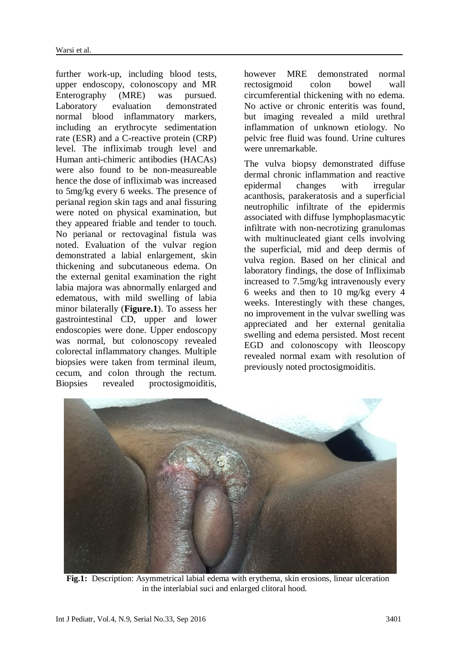further work-up, including blood tests, upper endoscopy, colonoscopy and MR Enterography (MRE) was pursued. Laboratory evaluation demonstrated normal blood inflammatory markers, including an erythrocyte sedimentation rate (ESR) and a C-reactive protein (CRP) level. The infliximab trough level and Human anti-chimeric antibodies (HACAs) were also found to be non-measureable hence the dose of infliximab was increased to 5mg/kg every 6 weeks. The presence of perianal region skin tags and anal fissuring were noted on physical examination, but they appeared friable and tender to touch. No perianal or rectovaginal fistula was noted. Evaluation of the vulvar region demonstrated a labial enlargement, skin thickening and subcutaneous edema. On the external genital examination the right labia majora was abnormally enlarged and edematous, with mild swelling of labia minor bilaterally (**Figure.1**). To assess her gastrointestinal CD, upper and lower endoscopies were done. Upper endoscopy was normal, but colonoscopy revealed colorectal inflammatory changes. Multiple biopsies were taken from terminal ileum, cecum, and colon through the rectum. Biopsies revealed proctosigmoiditis,

however MRE demonstrated normal rectosigmoid colon bowel wall circumferential thickening with no edema. No active or chronic enteritis was found, but imaging revealed a mild urethral inflammation of unknown etiology. No pelvic free fluid was found. Urine cultures were unremarkable.

The vulva biopsy demonstrated diffuse dermal chronic inflammation and reactive epidermal changes with irregular acanthosis, parakeratosis and a superficial neutrophilic infiltrate of the epidermis associated with diffuse lymphoplasmacytic infiltrate with non-necrotizing granulomas with multinucleated giant cells involving the superficial, mid and deep dermis of vulva region. Based on her clinical and laboratory findings, the dose of Infliximab increased to 7.5mg/kg intravenously every 6 weeks and then to 10 mg/kg every 4 weeks. Interestingly with these changes, no improvement in the vulvar swelling was appreciated and her external genitalia swelling and edema persisted. Most recent EGD and colonoscopy with Ileoscopy revealed normal exam with resolution of previously noted proctosigmoiditis.



 **Fig.1:** Description: Asymmetrical labial edema with erythema, skin erosions, linear ulceration in the interlabial suci and enlarged clitoral hood.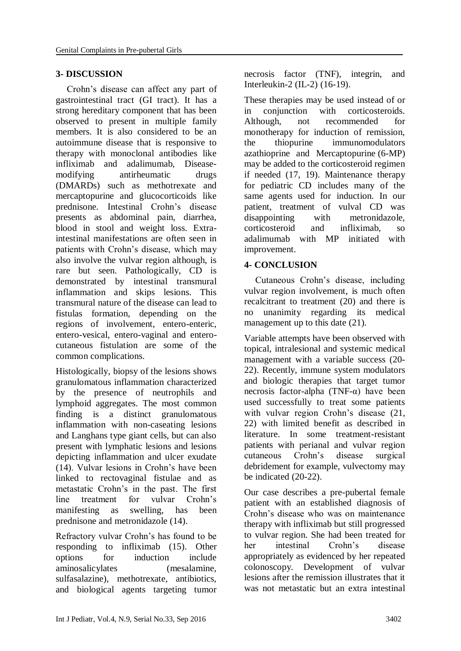## **3- DISCUSSION**

Crohn's disease can affect any part of gastrointestinal tract (GI tract). It has a strong hereditary component that has been observed to present in multiple family members. It is also considered to be an autoimmune disease that is responsive to therapy with monoclonal antibodies like infliximab and adalimumab, Diseasemodifying antirheumatic drugs (DMARDs) such as methotrexate and mercaptopurine and glucocorticoids like prednisone. Intestinal Crohn's disease presents as abdominal pain, diarrhea, blood in stool and weight loss. Extraintestinal manifestations are often seen in patients with Crohn's disease, which may also involve the vulvar region although, is rare but seen. Pathologically, CD is demonstrated by intestinal transmural inflammation and skips lesions. This transmural nature of the disease can lead to fistulas formation, depending on the regions of involvement, entero-enteric, entero-vesical, entero-vaginal and enterocutaneous fistulation are some of the common complications.

Histologically, biopsy of the lesions shows granulomatous inflammation characterized by the presence of neutrophils and lymphoid aggregates. The most common finding is a distinct granulomatous inflammation with non-caseating lesions and Langhans type giant cells, but can also present with lymphatic lesions and lesions depicting inflammation and ulcer exudate (14). Vulvar lesions in Crohn's have been linked to rectovaginal fistulae and as metastatic Crohn's in the past. The first line treatment for vulvar Crohn's manifesting as swelling, has been prednisone and metronidazole (14).

Refractory vulvar Crohn's has found to be responding to infliximab (15). Other options for induction include aminosalicylates (mesalamine, sulfasalazine), methotrexate, antibiotics, and biological agents targeting tumor necrosis factor (TNF), integrin, and Interleukin-2 (IL-2) (16-19).

These therapies may be used instead of or in conjunction with corticosteroids. Although, not recommended for monotherapy for induction of remission, the thiopurine immunomodulators azathioprine and Mercaptopurine (6-MP) may be added to the corticosteroid regimen if needed (17, 19). Maintenance therapy for pediatric CD includes many of the same agents used for induction. In our patient, treatment of vulval CD was disappointing with metronidazole, corticosteroid and infliximab, so adalimumab with MP initiated with improvement.

## **4- CONCLUSION**

Cutaneous Crohn's disease, including vulvar region involvement, is much often recalcitrant to treatment (20) and there is no unanimity regarding its medical management up to this date (21).

Variable attempts have been observed with topical, intralesional and systemic medical management with a variable success (20- 22). Recently, immune system modulators and biologic therapies that target tumor necrosis factor-alpha (TNF- $α$ ) have been used successfully to treat some patients with vulvar region Crohn's disease (21, 22) with limited benefit as described in literature. In some treatment-resistant patients with perianal and vulvar region cutaneous Crohn's disease surgical debridement for example, vulvectomy may be indicated (20-22).

Our case describes a pre-pubertal female patient with an established diagnosis of Crohn's disease who was on maintenance therapy with infliximab but still progressed to vulvar region. She had been treated for her intestinal Crohn's disease appropriately as evidenced by her repeated colonoscopy. Development of vulvar lesions after the remission illustrates that it was not metastatic but an extra intestinal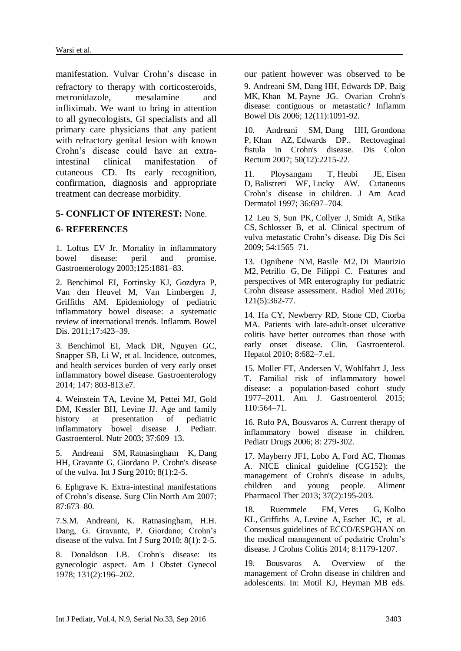manifestation. Vulvar Crohn's disease in our patient however was observed to be refractory to therapy with corticosteroids, metronidazole, mesalamine and infliximab. We want to bring in attention to all gynecologists, GI specialists and all primary care physicians that any patient with refractory genital lesion with known Crohn's disease could have an extraintestinal clinical manifestation of cutaneous CD. Its early recognition, confirmation, diagnosis and appropriate treatment can decrease morbidity.

#### **5- CONFLICT OF INTEREST:** None.

#### **6- REFERENCES**

1. Loftus EV Jr. Mortality in inflammatory bowel disease: peril and promise. Gastroenterology 2003;125:1881–83.

2. Benchimol EI, Fortinsky KJ, Gozdyra P, Van den Heuvel M, Van Limbergen J, Griffiths AM. Epidemiology of pediatric inflammatory bowel disease: a systematic review of international trends. Inflamm. Bowel Dis. 2011;17:423–39.

3. Benchimol EI, Mack DR, Nguyen GC, Snapper SB, Li W, et al. Incidence, outcomes, and health services burden of very early onset inflammatory bowel disease. Gastroenterology 2014; 147: 803-813.e7.

4. Weinstein TA, Levine M, Pettei MJ, Gold DM, Kessler BH, Levine JJ. Age and family history at presentation of pediatric inflammatory bowel disease J. Pediatr. Gastroenterol. Nutr 2003; 37:609–13.

5. [Andreani SM,](http://www.ncbi.nlm.nih.gov/pubmed/?term=Andreani%20SM%5BAuthor%5D&cauthor=true&cauthor_uid=19800432) [Ratnasingham K,](http://www.ncbi.nlm.nih.gov/pubmed/?term=Ratnasingham%20K%5BAuthor%5D&cauthor=true&cauthor_uid=19800432) [Dang](http://www.ncbi.nlm.nih.gov/pubmed/?term=Dang%20HH%5BAuthor%5D&cauthor=true&cauthor_uid=19800432)  [HH,](http://www.ncbi.nlm.nih.gov/pubmed/?term=Dang%20HH%5BAuthor%5D&cauthor=true&cauthor_uid=19800432) [Gravante G,](http://www.ncbi.nlm.nih.gov/pubmed/?term=Gravante%20G%5BAuthor%5D&cauthor=true&cauthor_uid=19800432) [Giordano P.](http://www.ncbi.nlm.nih.gov/pubmed/?term=Giordano%20P%5BAuthor%5D&cauthor=true&cauthor_uid=19800432) Crohn's disease of the vulva. Int J Surg 2010; 8(1):2-5.

6. Ephgrave K. Extra-intestinal manifestations of Crohn's disease. Surg Clin North Am 2007; 87:673–80.

7.S.M. Andreani, K. Ratnasingham, H.H. Dang, G. Gravante, P. Giordano; Crohn's disease of the vulva. Int J Surg 2010; 8(1): 2-5.

8. [Donaldson LB.](http://www.ncbi.nlm.nih.gov/pubmed/?term=Donaldson%20LB%5BAuthor%5D&cauthor=true&cauthor_uid=645800) Crohn's disease: its gynecologic aspect. Am J Obstet Gynecol 1978; 131(2):196–202.

9. [Andreani SM,](http://www.ncbi.nlm.nih.gov/pubmed/?term=Andreani%20SM%5BAuthor%5D&cauthor=true&cauthor_uid=17075353) [Dang HH,](http://www.ncbi.nlm.nih.gov/pubmed/?term=Dang%20HH%5BAuthor%5D&cauthor=true&cauthor_uid=17075353) [Edwards DP,](http://www.ncbi.nlm.nih.gov/pubmed/?term=Edwards%20DP%5BAuthor%5D&cauthor=true&cauthor_uid=17075353) [Baig](http://www.ncbi.nlm.nih.gov/pubmed/?term=Baig%20MK%5BAuthor%5D&cauthor=true&cauthor_uid=17075353)  [MK,](http://www.ncbi.nlm.nih.gov/pubmed/?term=Baig%20MK%5BAuthor%5D&cauthor=true&cauthor_uid=17075353) [Khan M,](http://www.ncbi.nlm.nih.gov/pubmed/?term=Khan%20M%5BAuthor%5D&cauthor=true&cauthor_uid=17075353) [Payne JG.](http://www.ncbi.nlm.nih.gov/pubmed/?term=Payne%20JG%5BAuthor%5D&cauthor=true&cauthor_uid=17075353) Ovarian Crohn's disease: contiguous or metastatic? [Inflamm](http://www.ncbi.nlm.nih.gov/pubmed/17075353)  [Bowel Dis](http://www.ncbi.nlm.nih.gov/pubmed/17075353) 2006; 12(11):1091-92.

10. [Andreani SM,](http://www.ncbi.nlm.nih.gov/pubmed/?term=Andreani%20SM%5BAuthor%5D&cauthor=true&cauthor_uid=17846837) [Dang HH,](http://www.ncbi.nlm.nih.gov/pubmed/?term=Dang%20HH%5BAuthor%5D&cauthor=true&cauthor_uid=17846837) [Grondona](http://www.ncbi.nlm.nih.gov/pubmed/?term=Grondona%20P%5BAuthor%5D&cauthor=true&cauthor_uid=17846837)  [P,](http://www.ncbi.nlm.nih.gov/pubmed/?term=Grondona%20P%5BAuthor%5D&cauthor=true&cauthor_uid=17846837) [Khan AZ,](http://www.ncbi.nlm.nih.gov/pubmed/?term=Khan%20AZ%5BAuthor%5D&cauthor=true&cauthor_uid=17846837) [Edwards DP.](http://www.ncbi.nlm.nih.gov/pubmed/?term=Edwards%20DP%5BAuthor%5D&cauthor=true&cauthor_uid=17846837). Rectovaginal fistula in Crohn's disease. [Dis Colon](http://www.ncbi.nlm.nih.gov/pubmed/?term=S.M.+Andreani%2C+H.H.+Dang%2C+P.+Grondona%2C+A.Z.+Khan%2C+D.P.+Edwards.+Rectovaginal)  [Rectum](http://www.ncbi.nlm.nih.gov/pubmed/?term=S.M.+Andreani%2C+H.H.+Dang%2C+P.+Grondona%2C+A.Z.+Khan%2C+D.P.+Edwards.+Rectovaginal) 2007; 50(12):2215-22.

11. [Ploysangam T,](http://www.ncbi.nlm.nih.gov/pubmed/?term=Ploysangam%20T%5BAuthor%5D&cauthor=true&cauthor_uid=9146530) [Heubi JE,](http://www.ncbi.nlm.nih.gov/pubmed/?term=Heubi%20JE%5BAuthor%5D&cauthor=true&cauthor_uid=9146530) [Eisen](http://www.ncbi.nlm.nih.gov/pubmed/?term=Eisen%20D%5BAuthor%5D&cauthor=true&cauthor_uid=9146530)  [D,](http://www.ncbi.nlm.nih.gov/pubmed/?term=Eisen%20D%5BAuthor%5D&cauthor=true&cauthor_uid=9146530) [Balistreri WF,](http://www.ncbi.nlm.nih.gov/pubmed/?term=Balistreri%20WF%5BAuthor%5D&cauthor=true&cauthor_uid=9146530) [Lucky AW.](http://www.ncbi.nlm.nih.gov/pubmed/?term=Lucky%20AW%5BAuthor%5D&cauthor=true&cauthor_uid=9146530) Cutaneous Crohn's disease in children. J Am Acad Dermatol 1997; 36:697–704.

12 [Leu S,](http://www.ncbi.nlm.nih.gov/pubmed/?term=Leu%20S%5BAuthor%5D&cauthor=true&cauthor_uid=19421856) [Sun PK,](http://www.ncbi.nlm.nih.gov/pubmed/?term=Sun%20PK%5BAuthor%5D&cauthor=true&cauthor_uid=19421856) [Collyer J,](http://www.ncbi.nlm.nih.gov/pubmed/?term=Collyer%20J%5BAuthor%5D&cauthor=true&cauthor_uid=19421856) [Smidt A,](http://www.ncbi.nlm.nih.gov/pubmed/?term=Smidt%20A%5BAuthor%5D&cauthor=true&cauthor_uid=19421856) [Stika](http://www.ncbi.nlm.nih.gov/pubmed/?term=Stika%20CS%5BAuthor%5D&cauthor=true&cauthor_uid=19421856)  [CS,](http://www.ncbi.nlm.nih.gov/pubmed/?term=Stika%20CS%5BAuthor%5D&cauthor=true&cauthor_uid=19421856) [Schlosser B,](http://www.ncbi.nlm.nih.gov/pubmed/?term=Schlosser%20B%5BAuthor%5D&cauthor=true&cauthor_uid=19421856) et al. Clinical spectrum of vulva metastatic Crohn's disease. Dig Dis Sci 2009; 54:1565–71.

13. [Ognibene NM,](http://www.ncbi.nlm.nih.gov/pubmed/?term=Ognibene%20NM%5BAuthor%5D&cauthor=true&cauthor_uid=26838591) [Basile M2](http://www.ncbi.nlm.nih.gov/pubmed/?term=Basile%20M%5BAuthor%5D&cauthor=true&cauthor_uid=26838591), [Di Maurizio](http://www.ncbi.nlm.nih.gov/pubmed/?term=Di%20Maurizio%20M%5BAuthor%5D&cauthor=true&cauthor_uid=26838591)  [M2](http://www.ncbi.nlm.nih.gov/pubmed/?term=Di%20Maurizio%20M%5BAuthor%5D&cauthor=true&cauthor_uid=26838591), [Petrillo G,](http://www.ncbi.nlm.nih.gov/pubmed/?term=Petrillo%20G%5BAuthor%5D&cauthor=true&cauthor_uid=26838591) [De Filippi C.](http://www.ncbi.nlm.nih.gov/pubmed/?term=De%20Filippi%20C%5BAuthor%5D&cauthor=true&cauthor_uid=26838591) Features and perspectives of MR enterography for pediatric Crohn disease assessment. [Radiol Med](http://www.ncbi.nlm.nih.gov/pubmed/?term=Noemi+Maria+Giovanna+Ognibene%2C+Massimo+Basile%2C+Marco+Di+Maurizio%2C) 2016; 121(5):362-77.

14. Ha CY, Newberry RD, Stone CD, Ciorba MA. Patients with late-adult-onset ulcerative colitis have better outcomes than those with early onset disease. Clin. Gastroenterol. Hepatol 2010; 8:682–7.e1.

15. Moller FT, Andersen V, Wohlfahrt J, Jess T. Familial risk of inflammatory bowel disease: a population-based cohort study 1977–2011. Am. J. Gastroenterol 2015; 110:564–71.

16. Rufo PA, Bousvaros A. Current therapy of inflammatory bowel disease in children. Pediatr Drugs 2006; 8: 279-302.

17. [Mayberry JF1](http://www.ncbi.nlm.nih.gov/pubmed/?term=Mayberry%20JF%5BAuthor%5D&cauthor=true&cauthor_uid=23151246), [Lobo A,](http://www.ncbi.nlm.nih.gov/pubmed/?term=Lobo%20A%5BAuthor%5D&cauthor=true&cauthor_uid=23151246) [Ford AC,](http://www.ncbi.nlm.nih.gov/pubmed/?term=Ford%20AC%5BAuthor%5D&cauthor=true&cauthor_uid=23151246) [Thomas](http://www.ncbi.nlm.nih.gov/pubmed/?term=Thomas%20A%5BAuthor%5D&cauthor=true&cauthor_uid=23151246)  [A.](http://www.ncbi.nlm.nih.gov/pubmed/?term=Thomas%20A%5BAuthor%5D&cauthor=true&cauthor_uid=23151246) NICE clinical guideline (CG152): the management of Crohn's disease in adults, children and young people. [Aliment](http://www.ncbi.nlm.nih.gov/pubmed/?term=Mayberry+JF%2C+Lobo+A%2C+Ford+AC%2C+Thomas+%3B+on+behalf+of+the+Guideline)  [Pharmacol Ther](http://www.ncbi.nlm.nih.gov/pubmed/?term=Mayberry+JF%2C+Lobo+A%2C+Ford+AC%2C+Thomas+%3B+on+behalf+of+the+Guideline) 2013; 37(2):195-203.

18. [Ruemmele FM,](http://www.ncbi.nlm.nih.gov/pubmed/?term=Ruemmele%20FM%5BAuthor%5D&cauthor=true&cauthor_uid=24909831) [Veres G,](http://www.ncbi.nlm.nih.gov/pubmed/?term=Veres%20G%5BAuthor%5D&cauthor=true&cauthor_uid=24909831) [Kolho](http://www.ncbi.nlm.nih.gov/pubmed/?term=Kolho%20KL%5BAuthor%5D&cauthor=true&cauthor_uid=24909831)  [KL,](http://www.ncbi.nlm.nih.gov/pubmed/?term=Kolho%20KL%5BAuthor%5D&cauthor=true&cauthor_uid=24909831) [Griffiths A,](http://www.ncbi.nlm.nih.gov/pubmed/?term=Griffiths%20A%5BAuthor%5D&cauthor=true&cauthor_uid=24909831) [Levine A,](http://www.ncbi.nlm.nih.gov/pubmed/?term=Levine%20A%5BAuthor%5D&cauthor=true&cauthor_uid=24909831) [Escher JC,](http://www.ncbi.nlm.nih.gov/pubmed/?term=Escher%20JC%5BAuthor%5D&cauthor=true&cauthor_uid=24909831) et al. Consensus guidelines of ECCO/ESPGHAN on the medical management of pediatric Crohn's disease. J Crohns Colitis 2014; 8:1179-1207.

19. Bousvaros A. Overview of the management of Crohn disease in children and adolescents. In: Motil KJ, Heyman MB eds.